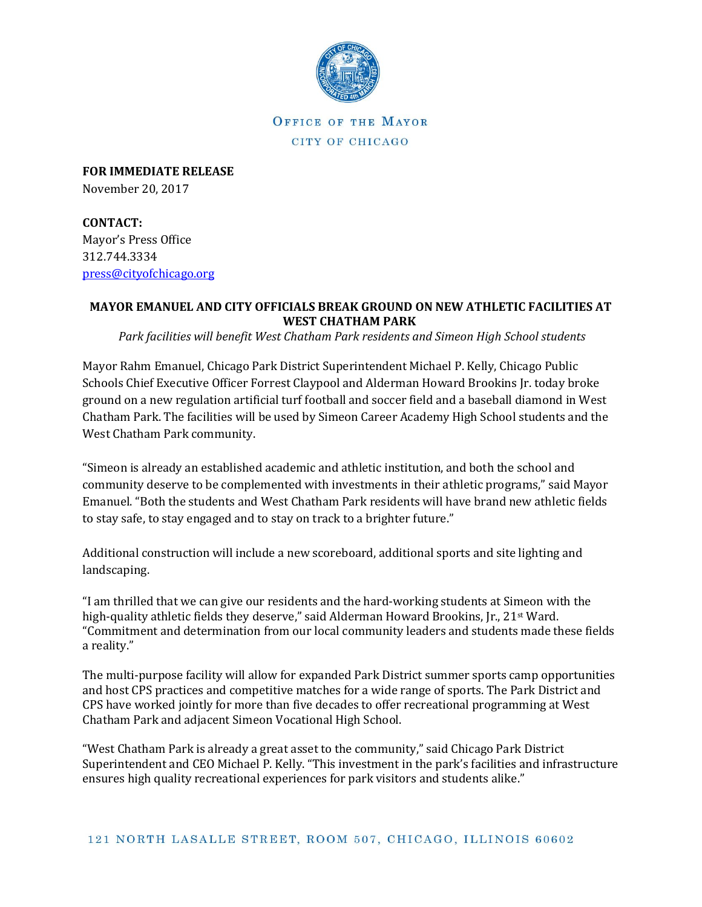

OFFICE OF THE MAYOR CITY OF CHICAGO

**FOR IMMEDIATE RELEASE** November 20, 2017

**CONTACT:** Mayor's Press Office 312.744.3334 [press@cityofchicago.org](mailto:press@cityofchicago.org)

## **MAYOR EMANUEL AND CITY OFFICIALS BREAK GROUND ON NEW ATHLETIC FACILITIES AT WEST CHATHAM PARK**

*Park facilities will benefit West Chatham Park residents and Simeon High School students*

Mayor Rahm Emanuel, Chicago Park District Superintendent Michael P. Kelly, Chicago Public Schools Chief Executive Officer Forrest Claypool and Alderman Howard Brookins Jr. today broke ground on a new regulation artificial turf football and soccer field and a baseball diamond in West Chatham Park. The facilities will be used by Simeon Career Academy High School students and the West Chatham Park community.

"Simeon is already an established academic and athletic institution, and both the school and community deserve to be complemented with investments in their athletic programs," said Mayor Emanuel. "Both the students and West Chatham Park residents will have brand new athletic fields to stay safe, to stay engaged and to stay on track to a brighter future."

Additional construction will include a new scoreboard, additional sports and site lighting and landscaping.

"I am thrilled that we can give our residents and the hard-working students at Simeon with the high-quality athletic fields they deserve," said Alderman Howard Brookins, Jr., 21st Ward. "Commitment and determination from our local community leaders and students made these fields a reality."

The multi-purpose facility will allow for expanded Park District summer sports camp opportunities and host CPS practices and competitive matches for a wide range of sports. The Park District and CPS have worked jointly for more than five decades to offer recreational programming at West Chatham Park and adjacent Simeon Vocational High School.

"West Chatham Park is already a great asset to the community," said Chicago Park District Superintendent and CEO Michael P. Kelly. "This investment in the park's facilities and infrastructure ensures high quality recreational experiences for park visitors and students alike."